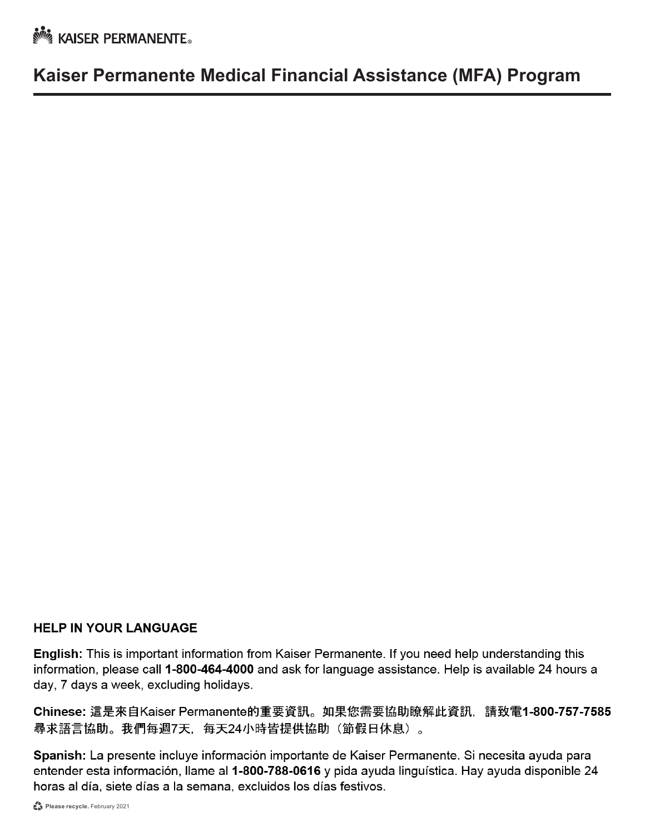**No. KAISER PERMANENTE** 

## **Kaiser Permanente Medical Financial Assistance (MFA) Program**

#### **HELP IN YOUR LANGUAGE**

English: This is important information from Kaiser Permanente. If you need help understanding this information, please call 1-800-464-4000 and ask for language assistance. Help is available 24 hours a day, 7 days a week, excluding holidays.

Chinese: 這是來自Kaiser Permanente的重要資訊。如果您需要協助瞭解此資訊, 請致電1-800-757-7585 尋求語言協助。我們每週7天,每天24小時皆提供協助(節假日休息)。

Spanish: La presente incluye información importante de Kaiser Permanente. Si necesita ayuda para entender esta información, llame al 1-800-788-0616 y pida ayuda linguística. Hay ayuda disponible 24 horas al día, siete días a la semana, excluidos los días festivos.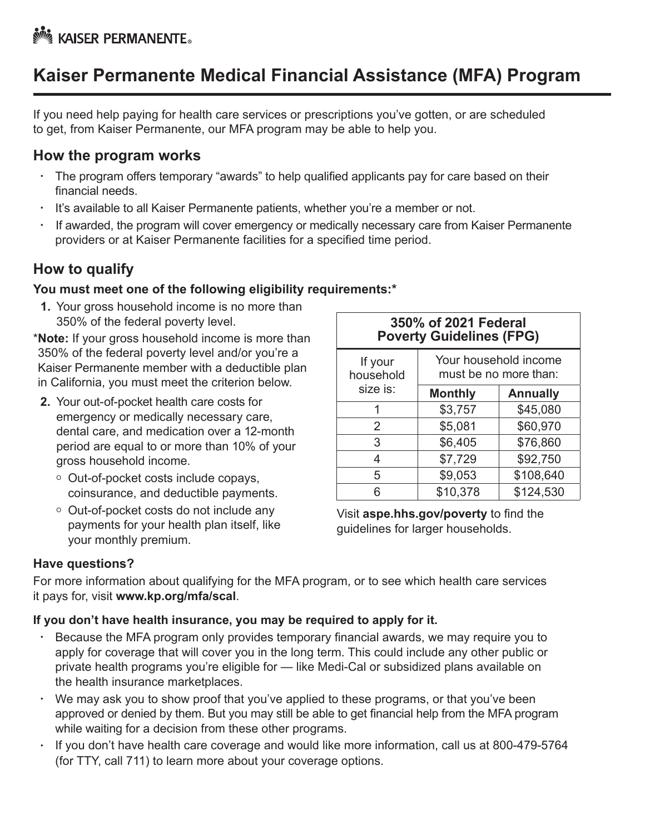# **Kaiser Permanente Medical Financial Assistance (MFA) Program**

If you need help paying for health care services or prescriptions you've gotten, or are scheduled to get, from Kaiser Permanente, our MFA program may be able to help you.

#### **How the program works**

- The program offers temporary "awards" to help qualified applicants pay for care based on their financial needs.
- It's available to all Kaiser Permanente patients, whether you're a member or not.
- If awarded, the program will cover emergency or medically necessary care from Kaiser Permanente providers or at Kaiser Permanente facilities for a specified time period.

## **How to qualify**

#### **You must meet one of the following eligibility requirements:\***

**1.** Your gross household income is no more than 350% of the federal poverty level.

\***Note:** If your gross household income is more than 350% of the federal poverty level and/or you're a Kaiser Permanente member with a deductible plan in California, you must meet the criterion below.

- **2.** Your out-of-pocket health care costs for emergency or medically necessary care, dental care, and medication over a 12-month period are equal to or more than 10% of your gross household income.
	- Out-of-pocket costs include copays, coinsurance, and deductible payments.
	- Out-of-pocket costs do not include any payments for your health plan itself, like your monthly premium.

| 350% of 2021 Federal<br><b>Poverty Guidelines (FPG)</b> |                                                |                 |  |  |  |  |
|---------------------------------------------------------|------------------------------------------------|-----------------|--|--|--|--|
| If your<br>household                                    | Your household income<br>must be no more than: |                 |  |  |  |  |
| size is:                                                | <b>Monthly</b>                                 | <b>Annually</b> |  |  |  |  |
| 1                                                       | \$3,757                                        | \$45,080        |  |  |  |  |
| 2                                                       | \$5,081                                        | \$60,970        |  |  |  |  |
| 3                                                       | \$6,405                                        | \$76,860        |  |  |  |  |
| 4                                                       | \$7,729                                        | \$92,750        |  |  |  |  |
| 5                                                       | \$9,053                                        | \$108,640       |  |  |  |  |
| 6                                                       | \$10,378                                       | \$124,530       |  |  |  |  |

Visit **[aspe.hhs.gov/poverty](http://aspe.hhs.gov/poverty)** to find the guidelines for larger households.

#### **Have questions?**

For more information about qualifying for the MFA program, or to see which health care services it pays for, visit **[www.kp.org/mfa/scal](http://www.kp.org/mfa/scal)**.

#### **If you don't have health insurance, you may be required to apply for it.**

- Because the MFA program only provides temporary financial awards, we may require you to apply for coverage that will cover you in the long term. This could include any other public or private health programs you're eligible for — like Medi-Cal or subsidized plans available on the health insurance marketplaces.
- We may ask you to show proof that you've applied to these programs, or that you've been approved or denied by them. But you may still be able to get financial help from the MFA program while waiting for a decision from these other programs.
- If you don't have health care coverage and would like more information, call us [at 800-479-5764](http://healthcare.gov) (for TTY, call 711) to learn more about your coverage options.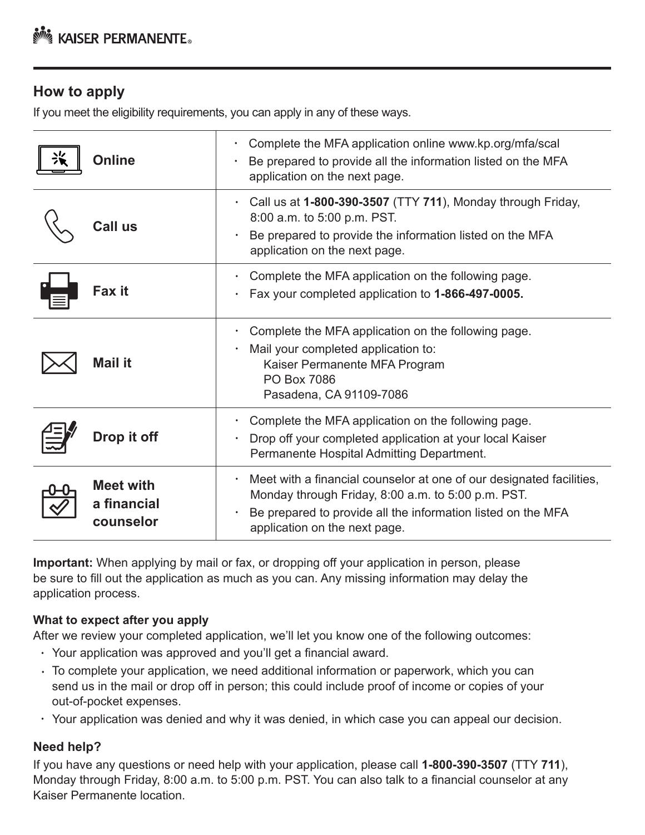## **How to apply**

If you meet the eligibility requirements, you can apply in any of these ways.

| Online                                       | Complete the MFA application online www.kp.org/mfa/scal<br>Be prepared to provide all the information listed on the MFA<br>application on the next page.                                                                    |
|----------------------------------------------|-----------------------------------------------------------------------------------------------------------------------------------------------------------------------------------------------------------------------------|
| <b>Call us</b>                               | Call us at 1-800-390-3507 (TTY 711), Monday through Friday,<br>8:00 a.m. to 5:00 p.m. PST.<br>Be prepared to provide the information listed on the MFA<br>application on the next page.                                     |
| Fax it                                       | Complete the MFA application on the following page.<br>Fax your completed application to 1-866-497-0005.                                                                                                                    |
| <b>Mail it</b>                               | Complete the MFA application on the following page.<br>Mail your completed application to:<br>Kaiser Permanente MFA Program<br><b>PO Box 7086</b><br>Pasadena, CA 91109-7086                                                |
| Drop it off                                  | Complete the MFA application on the following page.<br>Drop off your completed application at your local Kaiser<br>Permanente Hospital Admitting Department.                                                                |
| <b>Meet with</b><br>a financial<br>counselor | Meet with a financial counselor at one of our designated facilities,<br>Monday through Friday, 8:00 a.m. to 5:00 p.m. PST.<br>Be prepared to provide all the information listed on the MFA<br>application on the next page. |

**Important:** When applying by mail or fax, or dropping off your application in person, please be sure to fill out the application as much as you can. Any missing information may delay the application process.

#### **What to expect after you apply**

After we review your completed application, we'll let you know one of the following outcomes:

- Your application was approved and you'll get a financial award.
- To complete your application, we need additional information or paperwork, which you can send us in the mail or drop off in person; this could include proof of income or copies of your out-of-pocket expenses.
- Your application was denied and why it was denied, in which case you can appeal our decision.

#### **Need help?**

If you have any questions or need help with your application, please call **1-800-390-3507** (TTY **711**), Monday through Friday, 8:00 a.m. to 5:00 p.m. PST. You can also talk to a financial counselor at any Kaiser Permanente location.